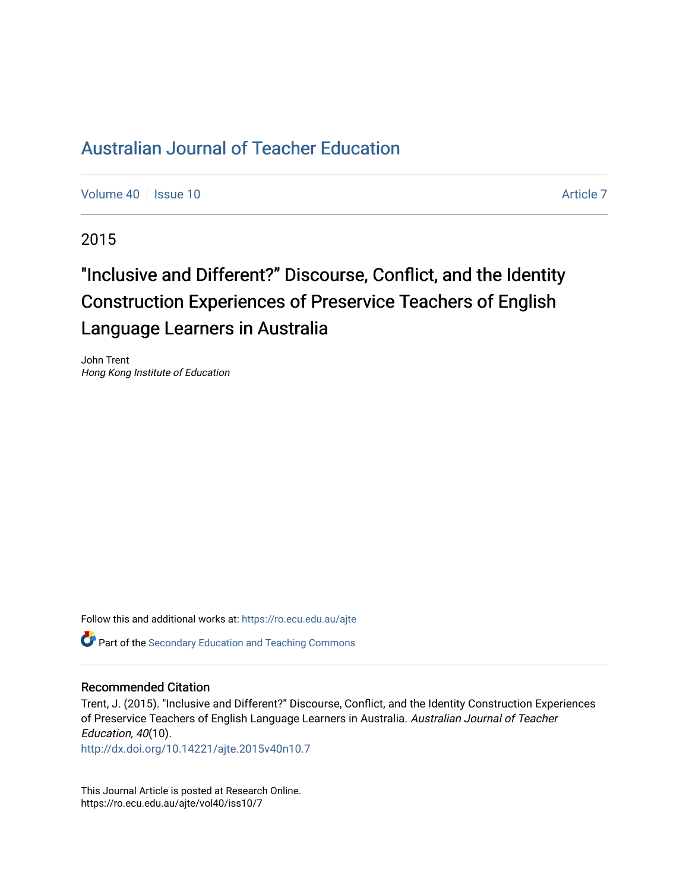## [Australian Journal of Teacher Education](https://ro.ecu.edu.au/ajte)

[Volume 40](https://ro.ecu.edu.au/ajte/vol40) | [Issue 10](https://ro.ecu.edu.au/ajte/vol40/iss10) Article 7

2015

# "Inclusive and Different?" Discourse, Conflict, and the Identity Construction Experiences of Preservice Teachers of English Language Learners in Australia

John Trent Hong Kong Institute of Education

Follow this and additional works at: [https://ro.ecu.edu.au/ajte](https://ro.ecu.edu.au/ajte?utm_source=ro.ecu.edu.au%2Fajte%2Fvol40%2Fiss10%2F7&utm_medium=PDF&utm_campaign=PDFCoverPages) 

**C** Part of the Secondary Education and Teaching Commons

#### Recommended Citation

Trent, J. (2015). "Inclusive and Different?" Discourse, Conflict, and the Identity Construction Experiences of Preservice Teachers of English Language Learners in Australia. Australian Journal of Teacher Education, 40(10).

<http://dx.doi.org/10.14221/ajte.2015v40n10.7>

This Journal Article is posted at Research Online. https://ro.ecu.edu.au/ajte/vol40/iss10/7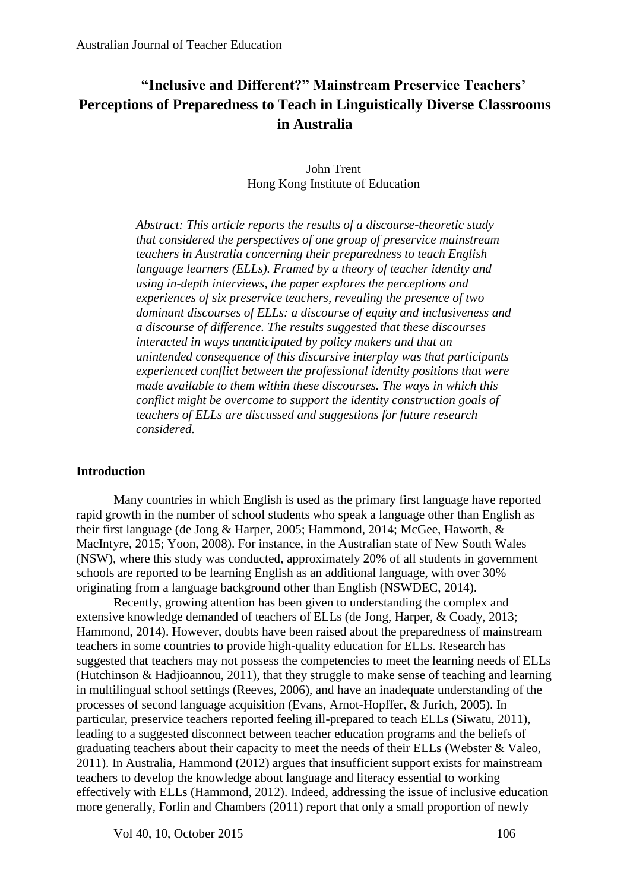## **"Inclusive and Different?" Mainstream Preservice Teachers' Perceptions of Preparedness to Teach in Linguistically Diverse Classrooms in Australia**

## John Trent Hong Kong Institute of Education

*Abstract: This article reports the results of a discourse-theoretic study that considered the perspectives of one group of preservice mainstream teachers in Australia concerning their preparedness to teach English language learners (ELLs). Framed by a theory of teacher identity and using in-depth interviews, the paper explores the perceptions and experiences of six preservice teachers, revealing the presence of two dominant discourses of ELLs: a discourse of equity and inclusiveness and a discourse of difference. The results suggested that these discourses interacted in ways unanticipated by policy makers and that an unintended consequence of this discursive interplay was that participants experienced conflict between the professional identity positions that were made available to them within these discourses. The ways in which this conflict might be overcome to support the identity construction goals of teachers of ELLs are discussed and suggestions for future research considered.* 

## **Introduction**

Many countries in which English is used as the primary first language have reported rapid growth in the number of school students who speak a language other than English as their first language (de Jong & Harper, 2005; Hammond, 2014; McGee, Haworth, & MacIntyre, 2015; Yoon, 2008). For instance, in the Australian state of New South Wales (NSW), where this study was conducted, approximately 20% of all students in government schools are reported to be learning English as an additional language, with over 30% originating from a language background other than English (NSWDEC, 2014).

Recently, growing attention has been given to understanding the complex and extensive knowledge demanded of teachers of ELLs (de Jong, Harper, & Coady, 2013; Hammond, 2014). However, doubts have been raised about the preparedness of mainstream teachers in some countries to provide high-quality education for ELLs. Research has suggested that teachers may not possess the competencies to meet the learning needs of ELLs (Hutchinson & Hadjioannou, 2011), that they struggle to make sense of teaching and learning in multilingual school settings (Reeves, 2006), and have an inadequate understanding of the processes of second language acquisition (Evans, Arnot-Hopffer, & Jurich, 2005). In particular, preservice teachers reported feeling ill-prepared to teach ELLs (Siwatu, 2011), leading to a suggested disconnect between teacher education programs and the beliefs of graduating teachers about their capacity to meet the needs of their ELLs (Webster & Valeo, 2011). In Australia, Hammond (2012) argues that insufficient support exists for mainstream teachers to develop the knowledge about language and literacy essential to working effectively with ELLs (Hammond, 2012). Indeed, addressing the issue of inclusive education more generally, Forlin and Chambers (2011) report that only a small proportion of newly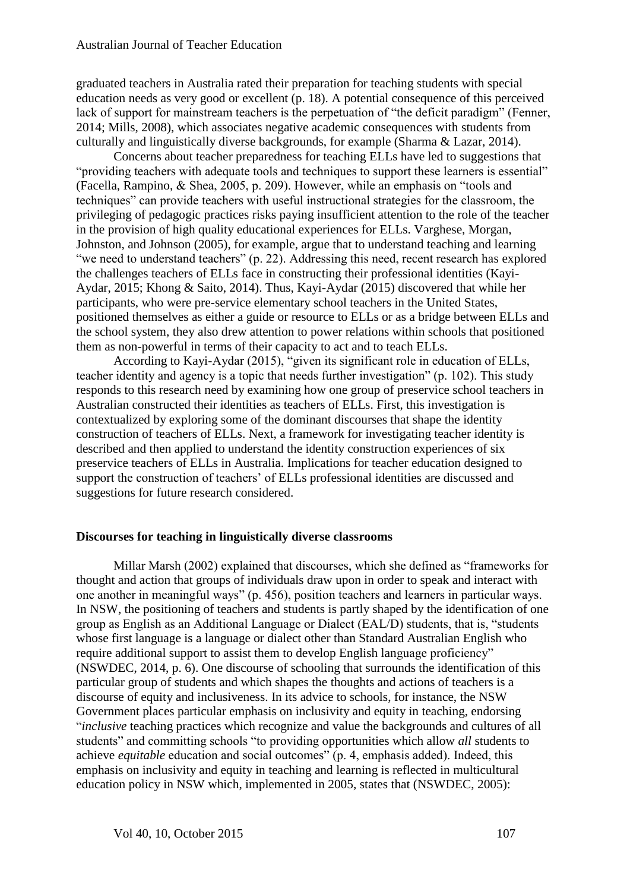graduated teachers in Australia rated their preparation for teaching students with special education needs as very good or excellent (p. 18). A potential consequence of this perceived lack of support for mainstream teachers is the perpetuation of "the deficit paradigm" (Fenner, 2014; Mills, 2008), which associates negative academic consequences with students from culturally and linguistically diverse backgrounds, for example (Sharma & Lazar, 2014).

Concerns about teacher preparedness for teaching ELLs have led to suggestions that "providing teachers with adequate tools and techniques to support these learners is essential" (Facella, Rampino, & Shea, 2005, p. 209). However, while an emphasis on "tools and techniques" can provide teachers with useful instructional strategies for the classroom, the privileging of pedagogic practices risks paying insufficient attention to the role of the teacher in the provision of high quality educational experiences for ELLs. Varghese, Morgan, Johnston, and Johnson (2005), for example, argue that to understand teaching and learning "we need to understand teachers" (p. 22). Addressing this need, recent research has explored the challenges teachers of ELLs face in constructing their professional identities (Kayi-Aydar, 2015; Khong & Saito, 2014). Thus, Kayi-Aydar (2015) discovered that while her participants, who were pre-service elementary school teachers in the United States, positioned themselves as either a guide or resource to ELLs or as a bridge between ELLs and the school system, they also drew attention to power relations within schools that positioned them as non-powerful in terms of their capacity to act and to teach ELLs.

According to Kayi-Aydar (2015), "given its significant role in education of ELLs, teacher identity and agency is a topic that needs further investigation" (p. 102). This study responds to this research need by examining how one group of preservice school teachers in Australian constructed their identities as teachers of ELLs. First, this investigation is contextualized by exploring some of the dominant discourses that shape the identity construction of teachers of ELLs. Next, a framework for investigating teacher identity is described and then applied to understand the identity construction experiences of six preservice teachers of ELLs in Australia. Implications for teacher education designed to support the construction of teachers' of ELLs professional identities are discussed and suggestions for future research considered.

#### **Discourses for teaching in linguistically diverse classrooms**

Millar Marsh (2002) explained that discourses, which she defined as "frameworks for thought and action that groups of individuals draw upon in order to speak and interact with one another in meaningful ways" (p. 456), position teachers and learners in particular ways. In NSW, the positioning of teachers and students is partly shaped by the identification of one group as English as an Additional Language or Dialect (EAL/D) students, that is, "students whose first language is a language or dialect other than Standard Australian English who require additional support to assist them to develop English language proficiency" (NSWDEC, 2014, p. 6). One discourse of schooling that surrounds the identification of this particular group of students and which shapes the thoughts and actions of teachers is a discourse of equity and inclusiveness. In its advice to schools, for instance, the NSW Government places particular emphasis on inclusivity and equity in teaching, endorsing "*inclusive* teaching practices which recognize and value the backgrounds and cultures of all students" and committing schools "to providing opportunities which allow *all* students to achieve *equitable* education and social outcomes" (p. 4, emphasis added). Indeed, this emphasis on inclusivity and equity in teaching and learning is reflected in multicultural education policy in NSW which, implemented in 2005, states that (NSWDEC, 2005):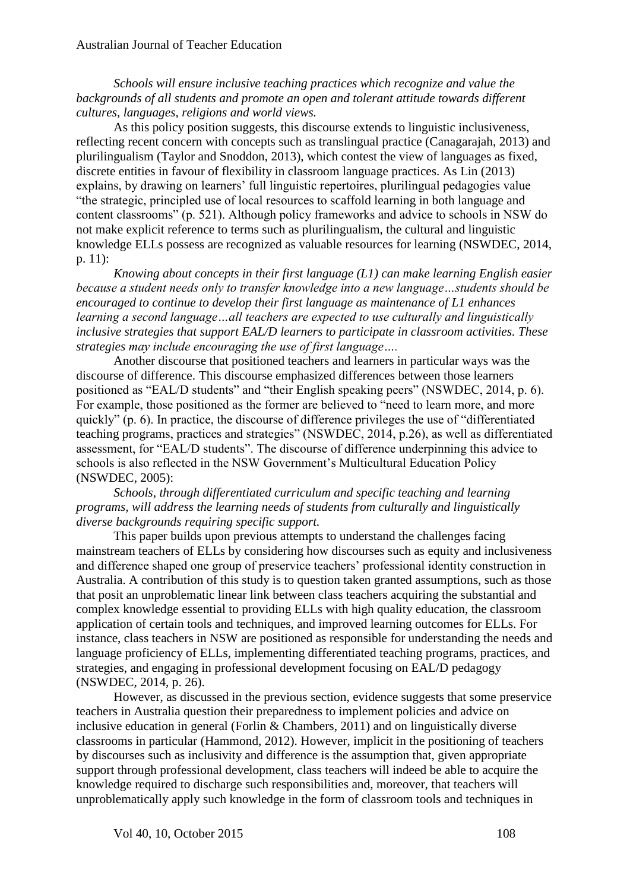*Schools will ensure inclusive teaching practices which recognize and value the backgrounds of all students and promote an open and tolerant attitude towards different cultures, languages, religions and world views.* 

As this policy position suggests, this discourse extends to linguistic inclusiveness, reflecting recent concern with concepts such as translingual practice (Canagarajah, 2013) and plurilingualism (Taylor and Snoddon, 2013), which contest the view of languages as fixed, discrete entities in favour of flexibility in classroom language practices. As Lin (2013) explains, by drawing on learners' full linguistic repertoires, plurilingual pedagogies value "the strategic, principled use of local resources to scaffold learning in both language and content classrooms" (p. 521). Although policy frameworks and advice to schools in NSW do not make explicit reference to terms such as plurilingualism, the cultural and linguistic knowledge ELLs possess are recognized as valuable resources for learning (NSWDEC, 2014, p. 11):

*Knowing about concepts in their first language (L1) can make learning English easier because a student needs only to transfer knowledge into a new language…students should be encouraged to continue to develop their first language as maintenance of L1 enhances learning a second language…all teachers are expected to use culturally and linguistically inclusive strategies that support EAL/D learners to participate in classroom activities. These strategies may include encouraging the use of first language….* 

Another discourse that positioned teachers and learners in particular ways was the discourse of difference. This discourse emphasized differences between those learners positioned as "EAL/D students" and "their English speaking peers" (NSWDEC, 2014, p. 6). For example, those positioned as the former are believed to "need to learn more, and more quickly" (p. 6). In practice, the discourse of difference privileges the use of "differentiated teaching programs, practices and strategies" (NSWDEC, 2014, p.26), as well as differentiated assessment, for "EAL/D students". The discourse of difference underpinning this advice to schools is also reflected in the NSW Government's Multicultural Education Policy (NSWDEC, 2005):

*Schools, through differentiated curriculum and specific teaching and learning programs, will address the learning needs of students from culturally and linguistically diverse backgrounds requiring specific support.* 

This paper builds upon previous attempts to understand the challenges facing mainstream teachers of ELLs by considering how discourses such as equity and inclusiveness and difference shaped one group of preservice teachers' professional identity construction in Australia. A contribution of this study is to question taken granted assumptions, such as those that posit an unproblematic linear link between class teachers acquiring the substantial and complex knowledge essential to providing ELLs with high quality education, the classroom application of certain tools and techniques, and improved learning outcomes for ELLs. For instance, class teachers in NSW are positioned as responsible for understanding the needs and language proficiency of ELLs, implementing differentiated teaching programs, practices, and strategies, and engaging in professional development focusing on EAL/D pedagogy (NSWDEC, 2014, p. 26).

However, as discussed in the previous section, evidence suggests that some preservice teachers in Australia question their preparedness to implement policies and advice on inclusive education in general (Forlin & Chambers, 2011) and on linguistically diverse classrooms in particular (Hammond, 2012). However, implicit in the positioning of teachers by discourses such as inclusivity and difference is the assumption that, given appropriate support through professional development, class teachers will indeed be able to acquire the knowledge required to discharge such responsibilities and, moreover, that teachers will unproblematically apply such knowledge in the form of classroom tools and techniques in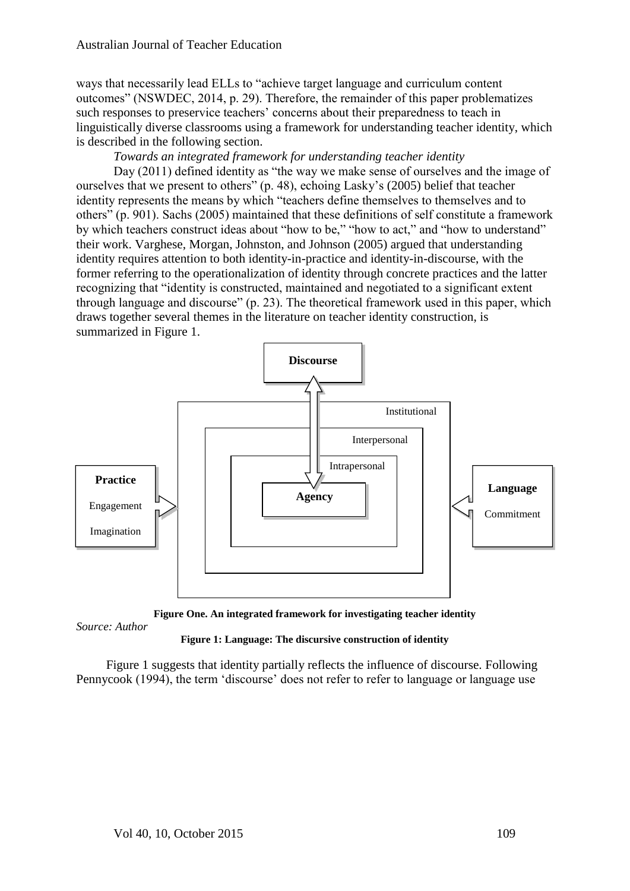ways that necessarily lead ELLs to "achieve target language and curriculum content outcomes" (NSWDEC, 2014, p. 29). Therefore, the remainder of this paper problematizes such responses to preservice teachers' concerns about their preparedness to teach in linguistically diverse classrooms using a framework for understanding teacher identity, which is described in the following section.

## *Towards an integrated framework for understanding teacher identity*

Day (2011) defined identity as "the way we make sense of ourselves and the image of ourselves that we present to others" (p. 48), echoing Lasky's (2005) belief that teacher identity represents the means by which "teachers define themselves to themselves and to others" (p. 901). Sachs (2005) maintained that these definitions of self constitute a framework by which teachers construct ideas about "how to be," "how to act," and "how to understand" their work. Varghese, Morgan, Johnston, and Johnson (2005) argued that understanding identity requires attention to both identity-in-practice and identity-in-discourse, with the former referring to the operationalization of identity through concrete practices and the latter recognizing that "identity is constructed, maintained and negotiated to a significant extent through language and discourse" (p. 23). The theoretical framework used in this paper, which draws together several themes in the literature on teacher identity construction, is summarized in Figure 1.



**Figure One. An integrated framework for investigating teacher identity**

*Source: Author*

## **Figure 1: Language: The discursive construction of identity**

Figure 1 suggests that identity partially reflects the influence of discourse. Following Pennycook (1994), the term 'discourse' does not refer to refer to language or language use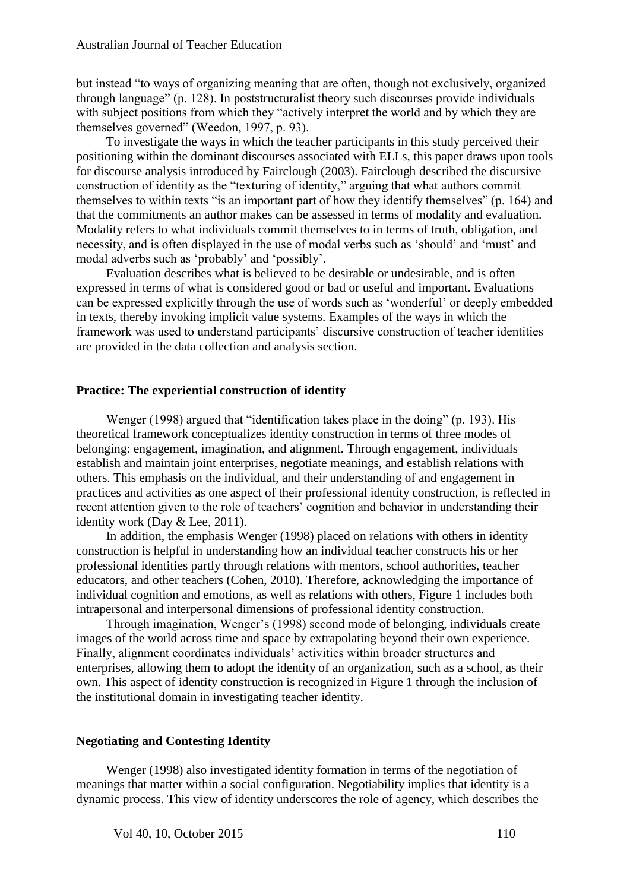but instead "to ways of organizing meaning that are often, though not exclusively, organized through language" (p. 128). In poststructuralist theory such discourses provide individuals with subject positions from which they "actively interpret the world and by which they are themselves governed" (Weedon, 1997, p. 93).

To investigate the ways in which the teacher participants in this study perceived their positioning within the dominant discourses associated with ELLs, this paper draws upon tools for discourse analysis introduced by Fairclough (2003). Fairclough described the discursive construction of identity as the "texturing of identity," arguing that what authors commit themselves to within texts "is an important part of how they identify themselves" (p. 164) and that the commitments an author makes can be assessed in terms of modality and evaluation. Modality refers to what individuals commit themselves to in terms of truth, obligation, and necessity, and is often displayed in the use of modal verbs such as 'should' and 'must' and modal adverbs such as 'probably' and 'possibly'.

Evaluation describes what is believed to be desirable or undesirable, and is often expressed in terms of what is considered good or bad or useful and important. Evaluations can be expressed explicitly through the use of words such as 'wonderful' or deeply embedded in texts, thereby invoking implicit value systems. Examples of the ways in which the framework was used to understand participants' discursive construction of teacher identities are provided in the data collection and analysis section.

## **Practice: The experiential construction of identity**

Wenger (1998) argued that "identification takes place in the doing" (p. 193). His theoretical framework conceptualizes identity construction in terms of three modes of belonging: engagement, imagination, and alignment. Through engagement, individuals establish and maintain joint enterprises, negotiate meanings, and establish relations with others. This emphasis on the individual, and their understanding of and engagement in practices and activities as one aspect of their professional identity construction, is reflected in recent attention given to the role of teachers' cognition and behavior in understanding their identity work (Day & Lee, 2011).

In addition, the emphasis Wenger (1998) placed on relations with others in identity construction is helpful in understanding how an individual teacher constructs his or her professional identities partly through relations with mentors, school authorities, teacher educators, and other teachers (Cohen, 2010). Therefore, acknowledging the importance of individual cognition and emotions, as well as relations with others, Figure 1 includes both intrapersonal and interpersonal dimensions of professional identity construction.

Through imagination, Wenger's (1998) second mode of belonging, individuals create images of the world across time and space by extrapolating beyond their own experience. Finally, alignment coordinates individuals' activities within broader structures and enterprises, allowing them to adopt the identity of an organization, such as a school, as their own. This aspect of identity construction is recognized in Figure 1 through the inclusion of the institutional domain in investigating teacher identity.

## **Negotiating and Contesting Identity**

Wenger (1998) also investigated identity formation in terms of the negotiation of meanings that matter within a social configuration. Negotiability implies that identity is a dynamic process. This view of identity underscores the role of agency, which describes the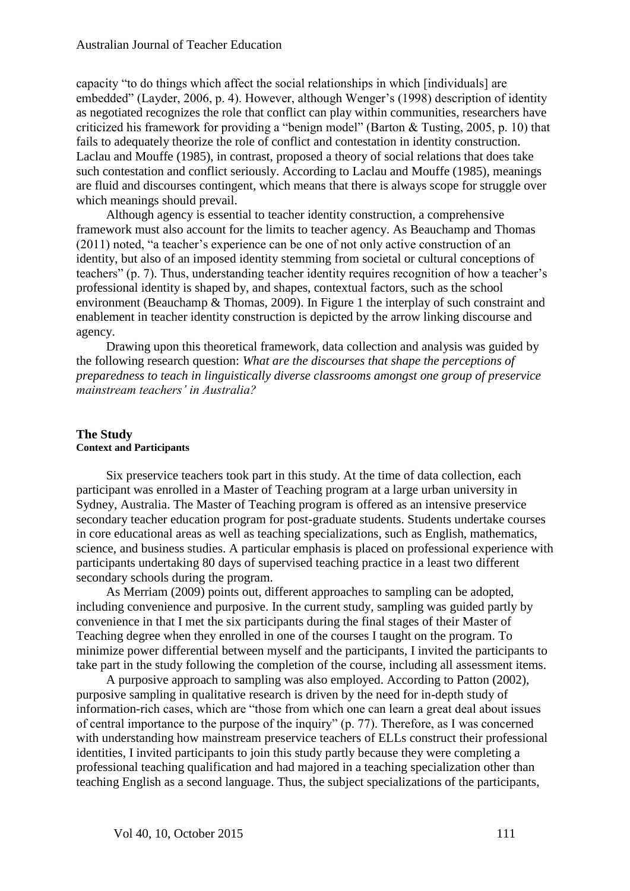capacity "to do things which affect the social relationships in which [individuals] are embedded" (Layder, 2006, p. 4). However, although Wenger's (1998) description of identity as negotiated recognizes the role that conflict can play within communities, researchers have criticized his framework for providing a "benign model" (Barton & Tusting, 2005, p. 10) that fails to adequately theorize the role of conflict and contestation in identity construction. Laclau and Mouffe (1985), in contrast, proposed a theory of social relations that does take such contestation and conflict seriously. According to Laclau and Mouffe (1985), meanings are fluid and discourses contingent, which means that there is always scope for struggle over which meanings should prevail.

Although agency is essential to teacher identity construction, a comprehensive framework must also account for the limits to teacher agency. As Beauchamp and Thomas (2011) noted, "a teacher's experience can be one of not only active construction of an identity, but also of an imposed identity stemming from societal or cultural conceptions of teachers" (p. 7). Thus, understanding teacher identity requires recognition of how a teacher's professional identity is shaped by, and shapes, contextual factors, such as the school environment (Beauchamp & Thomas, 2009). In Figure 1 the interplay of such constraint and enablement in teacher identity construction is depicted by the arrow linking discourse and agency.

Drawing upon this theoretical framework, data collection and analysis was guided by the following research question: *What are the discourses that shape the perceptions of preparedness to teach in linguistically diverse classrooms amongst one group of preservice mainstream teachers' in Australia?* 

## **The Study Context and Participants**

Six preservice teachers took part in this study. At the time of data collection, each participant was enrolled in a Master of Teaching program at a large urban university in Sydney, Australia. The Master of Teaching program is offered as an intensive preservice secondary teacher education program for post-graduate students. Students undertake courses in core educational areas as well as teaching specializations, such as English, mathematics, science, and business studies. A particular emphasis is placed on professional experience with participants undertaking 80 days of supervised teaching practice in a least two different secondary schools during the program.

As Merriam (2009) points out, different approaches to sampling can be adopted, including convenience and purposive. In the current study, sampling was guided partly by convenience in that I met the six participants during the final stages of their Master of Teaching degree when they enrolled in one of the courses I taught on the program. To minimize power differential between myself and the participants, I invited the participants to take part in the study following the completion of the course, including all assessment items.

A purposive approach to sampling was also employed. According to Patton (2002), purposive sampling in qualitative research is driven by the need for in-depth study of information-rich cases, which are "those from which one can learn a great deal about issues of central importance to the purpose of the inquiry" (p. 77). Therefore, as I was concerned with understanding how mainstream preservice teachers of ELLs construct their professional identities, I invited participants to join this study partly because they were completing a professional teaching qualification and had majored in a teaching specialization other than teaching English as a second language. Thus, the subject specializations of the participants,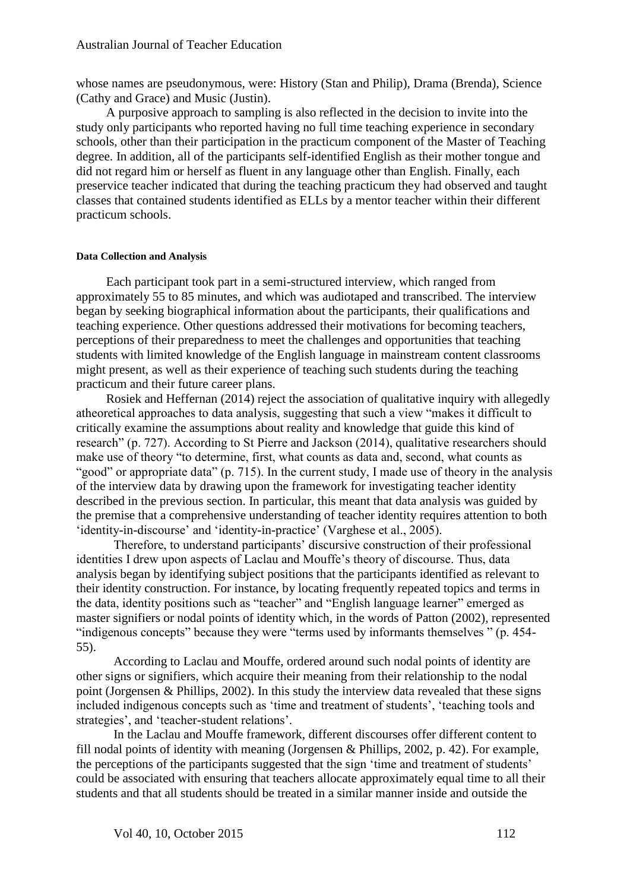whose names are pseudonymous, were: History (Stan and Philip), Drama (Brenda), Science (Cathy and Grace) and Music (Justin).

A purposive approach to sampling is also reflected in the decision to invite into the study only participants who reported having no full time teaching experience in secondary schools, other than their participation in the practicum component of the Master of Teaching degree. In addition, all of the participants self-identified English as their mother tongue and did not regard him or herself as fluent in any language other than English. Finally, each preservice teacher indicated that during the teaching practicum they had observed and taught classes that contained students identified as ELLs by a mentor teacher within their different practicum schools.

#### **Data Collection and Analysis**

Each participant took part in a semi-structured interview, which ranged from approximately 55 to 85 minutes, and which was audiotaped and transcribed. The interview began by seeking biographical information about the participants, their qualifications and teaching experience. Other questions addressed their motivations for becoming teachers, perceptions of their preparedness to meet the challenges and opportunities that teaching students with limited knowledge of the English language in mainstream content classrooms might present, as well as their experience of teaching such students during the teaching practicum and their future career plans.

Rosiek and Heffernan (2014) reject the association of qualitative inquiry with allegedly atheoretical approaches to data analysis, suggesting that such a view "makes it difficult to critically examine the assumptions about reality and knowledge that guide this kind of research" (p. 727). According to St Pierre and Jackson (2014), qualitative researchers should make use of theory "to determine, first, what counts as data and, second, what counts as "good" or appropriate data" (p. 715). In the current study, I made use of theory in the analysis of the interview data by drawing upon the framework for investigating teacher identity described in the previous section. In particular, this meant that data analysis was guided by the premise that a comprehensive understanding of teacher identity requires attention to both 'identity-in-discourse' and 'identity-in-practice' (Varghese et al., 2005).

Therefore, to understand participants' discursive construction of their professional identities I drew upon aspects of Laclau and Mouffe's theory of discourse. Thus, data analysis began by identifying subject positions that the participants identified as relevant to their identity construction. For instance, by locating frequently repeated topics and terms in the data, identity positions such as "teacher" and "English language learner" emerged as master signifiers or nodal points of identity which, in the words of Patton (2002), represented "indigenous concepts" because they were "terms used by informants themselves " (p. 454- 55).

According to Laclau and Mouffe, ordered around such nodal points of identity are other signs or signifiers, which acquire their meaning from their relationship to the nodal point (Jorgensen & Phillips, 2002). In this study the interview data revealed that these signs included indigenous concepts such as 'time and treatment of students', 'teaching tools and strategies', and 'teacher-student relations'.

In the Laclau and Mouffe framework, different discourses offer different content to fill nodal points of identity with meaning (Jorgensen & Phillips, 2002, p. 42). For example, the perceptions of the participants suggested that the sign 'time and treatment of students' could be associated with ensuring that teachers allocate approximately equal time to all their students and that all students should be treated in a similar manner inside and outside the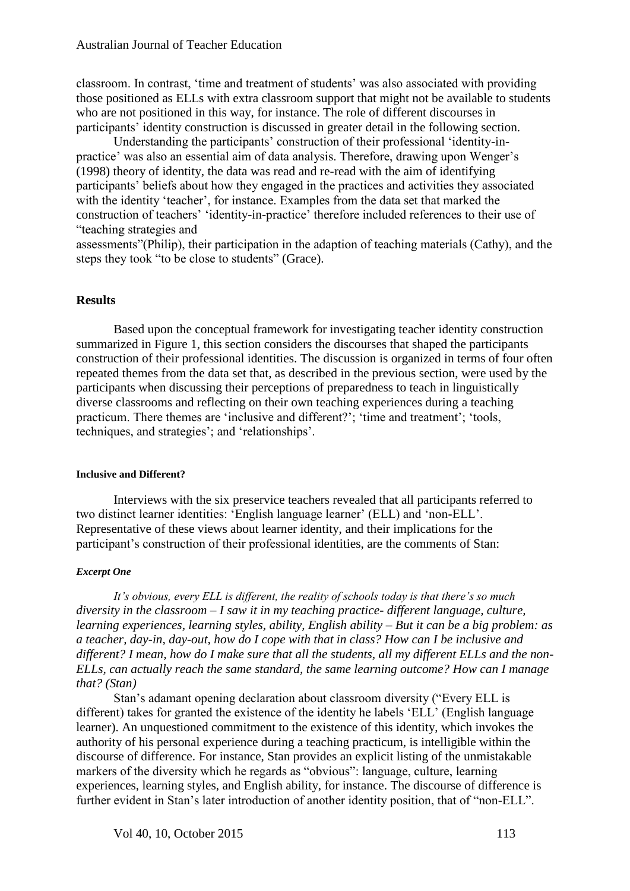classroom. In contrast, 'time and treatment of students' was also associated with providing those positioned as ELLs with extra classroom support that might not be available to students who are not positioned in this way, for instance. The role of different discourses in participants' identity construction is discussed in greater detail in the following section.

Understanding the participants' construction of their professional 'identity-inpractice' was also an essential aim of data analysis. Therefore, drawing upon Wenger's (1998) theory of identity, the data was read and re-read with the aim of identifying participants' beliefs about how they engaged in the practices and activities they associated with the identity 'teacher', for instance. Examples from the data set that marked the construction of teachers' 'identity-in-practice' therefore included references to their use of "teaching strategies and

assessments"(Philip), their participation in the adaption of teaching materials (Cathy), and the steps they took "to be close to students" (Grace).

### **Results**

Based upon the conceptual framework for investigating teacher identity construction summarized in Figure 1, this section considers the discourses that shaped the participants construction of their professional identities. The discussion is organized in terms of four often repeated themes from the data set that, as described in the previous section, were used by the participants when discussing their perceptions of preparedness to teach in linguistically diverse classrooms and reflecting on their own teaching experiences during a teaching practicum. There themes are 'inclusive and different?'; 'time and treatment'; 'tools, techniques, and strategies'; and 'relationships'.

#### **Inclusive and Different?**

Interviews with the six preservice teachers revealed that all participants referred to two distinct learner identities: 'English language learner' (ELL) and 'non-ELL'. Representative of these views about learner identity, and their implications for the participant's construction of their professional identities, are the comments of Stan:

#### *Excerpt One*

*It's obvious, every ELL is different, the reality of schools today is that there's so much diversity in the classroom – I saw it in my teaching practice- different language, culture, learning experiences, learning styles, ability, English ability – But it can be a big problem: as a teacher, day-in, day-out, how do I cope with that in class? How can I be inclusive and different? I mean, how do I make sure that all the students, all my different ELLs and the non-ELLs, can actually reach the same standard, the same learning outcome? How can I manage that? (Stan)*

Stan's adamant opening declaration about classroom diversity ("Every ELL is different) takes for granted the existence of the identity he labels 'ELL' (English language learner). An unquestioned commitment to the existence of this identity, which invokes the authority of his personal experience during a teaching practicum, is intelligible within the discourse of difference. For instance, Stan provides an explicit listing of the unmistakable markers of the diversity which he regards as "obvious": language, culture, learning experiences, learning styles, and English ability, for instance. The discourse of difference is further evident in Stan's later introduction of another identity position, that of "non-ELL".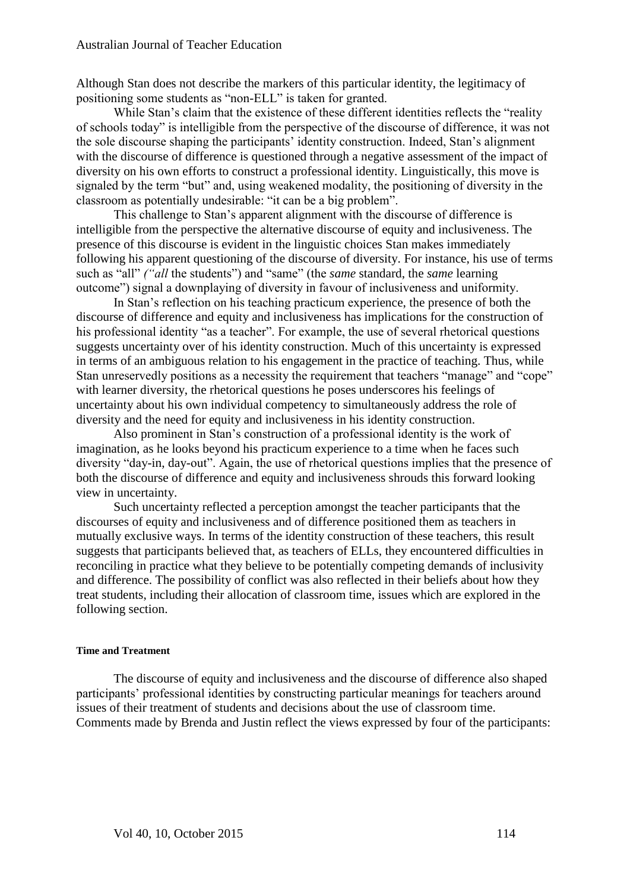Although Stan does not describe the markers of this particular identity, the legitimacy of positioning some students as "non-ELL" is taken for granted.

While Stan's claim that the existence of these different identities reflects the "reality of schools today" is intelligible from the perspective of the discourse of difference, it was not the sole discourse shaping the participants' identity construction. Indeed, Stan's alignment with the discourse of difference is questioned through a negative assessment of the impact of diversity on his own efforts to construct a professional identity. Linguistically, this move is signaled by the term "but" and, using weakened modality, the positioning of diversity in the classroom as potentially undesirable: "it can be a big problem".

This challenge to Stan's apparent alignment with the discourse of difference is intelligible from the perspective the alternative discourse of equity and inclusiveness. The presence of this discourse is evident in the linguistic choices Stan makes immediately following his apparent questioning of the discourse of diversity. For instance, his use of terms such as "all" *("all* the students") and "same" (the *same* standard, the *same* learning outcome") signal a downplaying of diversity in favour of inclusiveness and uniformity.

In Stan's reflection on his teaching practicum experience, the presence of both the discourse of difference and equity and inclusiveness has implications for the construction of his professional identity "as a teacher". For example, the use of several rhetorical questions suggests uncertainty over of his identity construction. Much of this uncertainty is expressed in terms of an ambiguous relation to his engagement in the practice of teaching. Thus, while Stan unreservedly positions as a necessity the requirement that teachers "manage" and "cope" with learner diversity, the rhetorical questions he poses underscores his feelings of uncertainty about his own individual competency to simultaneously address the role of diversity and the need for equity and inclusiveness in his identity construction.

Also prominent in Stan's construction of a professional identity is the work of imagination, as he looks beyond his practicum experience to a time when he faces such diversity "day-in, day-out". Again, the use of rhetorical questions implies that the presence of both the discourse of difference and equity and inclusiveness shrouds this forward looking view in uncertainty.

Such uncertainty reflected a perception amongst the teacher participants that the discourses of equity and inclusiveness and of difference positioned them as teachers in mutually exclusive ways. In terms of the identity construction of these teachers, this result suggests that participants believed that, as teachers of ELLs, they encountered difficulties in reconciling in practice what they believe to be potentially competing demands of inclusivity and difference. The possibility of conflict was also reflected in their beliefs about how they treat students, including their allocation of classroom time, issues which are explored in the following section.

#### **Time and Treatment**

The discourse of equity and inclusiveness and the discourse of difference also shaped participants' professional identities by constructing particular meanings for teachers around issues of their treatment of students and decisions about the use of classroom time. Comments made by Brenda and Justin reflect the views expressed by four of the participants: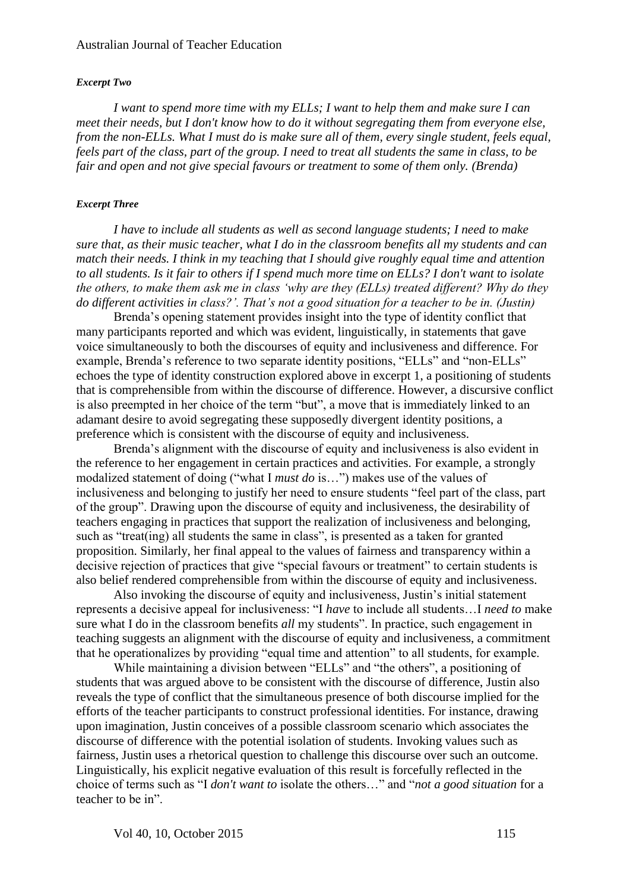#### *Excerpt Two*

*I want to spend more time with my ELLs; I want to help them and make sure I can meet their needs, but I don't know how to do it without segregating them from everyone else, from the non-ELLs. What I must do is make sure all of them, every single student, feels equal, feels part of the class, part of the group. I need to treat all students the same in class, to be fair and open and not give special favours or treatment to some of them only. (Brenda)* 

#### *Excerpt Three*

*I have to include all students as well as second language students; I need to make sure that, as their music teacher, what I do in the classroom benefits all my students and can match their needs. I think in my teaching that I should give roughly equal time and attention to all students. Is it fair to others if I spend much more time on ELLs? I don't want to isolate the others, to make them ask me in class 'why are they (ELLs) treated different? Why do they do different activities in class?'. That's not a good situation for a teacher to be in. (Justin)*

Brenda's opening statement provides insight into the type of identity conflict that many participants reported and which was evident, linguistically, in statements that gave voice simultaneously to both the discourses of equity and inclusiveness and difference. For example, Brenda's reference to two separate identity positions, "ELLs" and "non-ELLs" echoes the type of identity construction explored above in excerpt 1, a positioning of students that is comprehensible from within the discourse of difference. However, a discursive conflict is also preempted in her choice of the term "but", a move that is immediately linked to an adamant desire to avoid segregating these supposedly divergent identity positions, a preference which is consistent with the discourse of equity and inclusiveness.

Brenda's alignment with the discourse of equity and inclusiveness is also evident in the reference to her engagement in certain practices and activities. For example, a strongly modalized statement of doing ("what I *must do* is…") makes use of the values of inclusiveness and belonging to justify her need to ensure students "feel part of the class, part of the group". Drawing upon the discourse of equity and inclusiveness, the desirability of teachers engaging in practices that support the realization of inclusiveness and belonging, such as "treat(ing) all students the same in class", is presented as a taken for granted proposition. Similarly, her final appeal to the values of fairness and transparency within a decisive rejection of practices that give "special favours or treatment" to certain students is also belief rendered comprehensible from within the discourse of equity and inclusiveness.

Also invoking the discourse of equity and inclusiveness, Justin's initial statement represents a decisive appeal for inclusiveness: "I *have* to include all students…I *need to* make sure what I do in the classroom benefits *all* my students". In practice, such engagement in teaching suggests an alignment with the discourse of equity and inclusiveness, a commitment that he operationalizes by providing "equal time and attention" to all students, for example.

While maintaining a division between "ELLs" and "the others", a positioning of students that was argued above to be consistent with the discourse of difference, Justin also reveals the type of conflict that the simultaneous presence of both discourse implied for the efforts of the teacher participants to construct professional identities. For instance, drawing upon imagination, Justin conceives of a possible classroom scenario which associates the discourse of difference with the potential isolation of students. Invoking values such as fairness, Justin uses a rhetorical question to challenge this discourse over such an outcome. Linguistically, his explicit negative evaluation of this result is forcefully reflected in the choice of terms such as "I *don't want to* isolate the others…" and "*not a good situation* for a teacher to be in".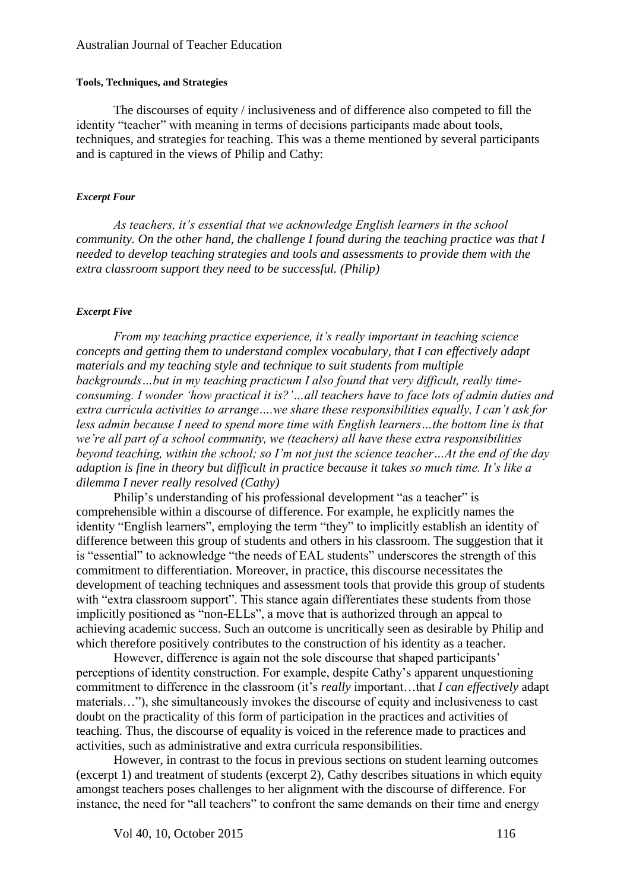#### Australian Journal of Teacher Education

#### **Tools, Techniques, and Strategies**

The discourses of equity / inclusiveness and of difference also competed to fill the identity "teacher" with meaning in terms of decisions participants made about tools, techniques, and strategies for teaching. This was a theme mentioned by several participants and is captured in the views of Philip and Cathy:

#### *Excerpt Four*

*As teachers, it's essential that we acknowledge English learners in the school community. On the other hand, the challenge I found during the teaching practice was that I needed to develop teaching strategies and tools and assessments to provide them with the extra classroom support they need to be successful. (Philip)*

#### *Excerpt Five*

*From my teaching practice experience, it's really important in teaching science concepts and getting them to understand complex vocabulary, that I can effectively adapt materials and my teaching style and technique to suit students from multiple backgrounds…but in my teaching practicum I also found that very difficult, really timeconsuming. I wonder 'how practical it is?'…all teachers have to face lots of admin duties and extra curricula activities to arrange….we share these responsibilities equally, I can't ask for less admin because I need to spend more time with English learners…the bottom line is that we're all part of a school community, we (teachers) all have these extra responsibilities beyond teaching, within the school; so I'm not just the science teacher…At the end of the day adaption is fine in theory but difficult in practice because it takes so much time. It's like a dilemma I never really resolved (Cathy)*

Philip's understanding of his professional development "as a teacher" is comprehensible within a discourse of difference. For example, he explicitly names the identity "English learners", employing the term "they" to implicitly establish an identity of difference between this group of students and others in his classroom. The suggestion that it is "essential" to acknowledge "the needs of EAL students" underscores the strength of this commitment to differentiation. Moreover, in practice, this discourse necessitates the development of teaching techniques and assessment tools that provide this group of students with "extra classroom support". This stance again differentiates these students from those implicitly positioned as "non-ELLs", a move that is authorized through an appeal to achieving academic success. Such an outcome is uncritically seen as desirable by Philip and which therefore positively contributes to the construction of his identity as a teacher.

However, difference is again not the sole discourse that shaped participants' perceptions of identity construction. For example, despite Cathy's apparent unquestioning commitment to difference in the classroom (it's *really* important…that *I can effectively* adapt materials…"), she simultaneously invokes the discourse of equity and inclusiveness to cast doubt on the practicality of this form of participation in the practices and activities of teaching. Thus, the discourse of equality is voiced in the reference made to practices and activities, such as administrative and extra curricula responsibilities.

However, in contrast to the focus in previous sections on student learning outcomes (excerpt 1) and treatment of students (excerpt 2), Cathy describes situations in which equity amongst teachers poses challenges to her alignment with the discourse of difference. For instance, the need for "all teachers" to confront the same demands on their time and energy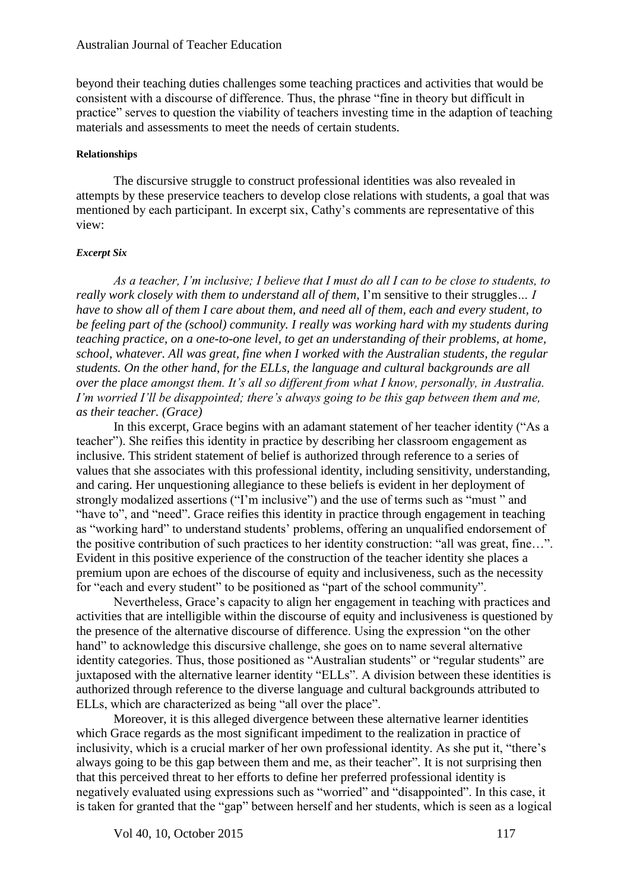beyond their teaching duties challenges some teaching practices and activities that would be consistent with a discourse of difference. Thus, the phrase "fine in theory but difficult in practice" serves to question the viability of teachers investing time in the adaption of teaching materials and assessments to meet the needs of certain students.

#### **Relationships**

The discursive struggle to construct professional identities was also revealed in attempts by these preservice teachers to develop close relations with students, a goal that was mentioned by each participant. In excerpt six, Cathy's comments are representative of this view:

#### *Excerpt Six*

*As a teacher, I'm inclusive; I believe that I must do all I can to be close to students, to really work closely with them to understand all of them,* I'm sensitive to their struggles*… I have to show all of them I care about them, and need all of them, each and every student, to be feeling part of the (school) community. I really was working hard with my students during teaching practice, on a one-to-one level, to get an understanding of their problems, at home, school, whatever. All was great, fine when I worked with the Australian students, the regular students. On the other hand, for the ELLs, the language and cultural backgrounds are all over the place amongst them. It's all so different from what I know, personally, in Australia. I'm worried I'll be disappointed; there's always going to be this gap between them and me, as their teacher. (Grace)* 

In this excerpt, Grace begins with an adamant statement of her teacher identity ("As a teacher"). She reifies this identity in practice by describing her classroom engagement as inclusive. This strident statement of belief is authorized through reference to a series of values that she associates with this professional identity, including sensitivity, understanding, and caring. Her unquestioning allegiance to these beliefs is evident in her deployment of strongly modalized assertions ("I'm inclusive") and the use of terms such as "must " and "have to", and "need". Grace reifies this identity in practice through engagement in teaching as "working hard" to understand students' problems, offering an unqualified endorsement of the positive contribution of such practices to her identity construction: "all was great, fine…". Evident in this positive experience of the construction of the teacher identity she places a premium upon are echoes of the discourse of equity and inclusiveness, such as the necessity for "each and every student" to be positioned as "part of the school community".

Nevertheless, Grace's capacity to align her engagement in teaching with practices and activities that are intelligible within the discourse of equity and inclusiveness is questioned by the presence of the alternative discourse of difference. Using the expression "on the other hand" to acknowledge this discursive challenge, she goes on to name several alternative identity categories. Thus, those positioned as "Australian students" or "regular students" are juxtaposed with the alternative learner identity "ELLs". A division between these identities is authorized through reference to the diverse language and cultural backgrounds attributed to ELLs, which are characterized as being "all over the place".

Moreover, it is this alleged divergence between these alternative learner identities which Grace regards as the most significant impediment to the realization in practice of inclusivity, which is a crucial marker of her own professional identity. As she put it, "there's always going to be this gap between them and me, as their teacher"*.* It is not surprising then that this perceived threat to her efforts to define her preferred professional identity is negatively evaluated using expressions such as "worried" and "disappointed". In this case, it is taken for granted that the "gap" between herself and her students, which is seen as a logical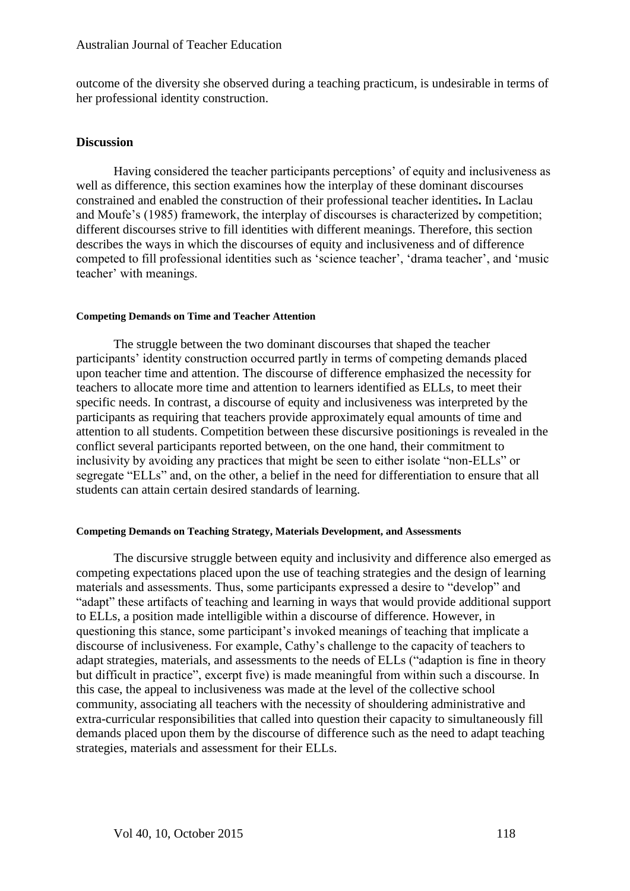outcome of the diversity she observed during a teaching practicum, is undesirable in terms of her professional identity construction.

### **Discussion**

Having considered the teacher participants perceptions' of equity and inclusiveness as well as difference, this section examines how the interplay of these dominant discourses constrained and enabled the construction of their professional teacher identities**.** In Laclau and Moufe's (1985) framework, the interplay of discourses is characterized by competition; different discourses strive to fill identities with different meanings. Therefore, this section describes the ways in which the discourses of equity and inclusiveness and of difference competed to fill professional identities such as 'science teacher', 'drama teacher', and 'music teacher' with meanings.

#### **Competing Demands on Time and Teacher Attention**

The struggle between the two dominant discourses that shaped the teacher participants' identity construction occurred partly in terms of competing demands placed upon teacher time and attention. The discourse of difference emphasized the necessity for teachers to allocate more time and attention to learners identified as ELLs, to meet their specific needs. In contrast, a discourse of equity and inclusiveness was interpreted by the participants as requiring that teachers provide approximately equal amounts of time and attention to all students. Competition between these discursive positionings is revealed in the conflict several participants reported between, on the one hand, their commitment to inclusivity by avoiding any practices that might be seen to either isolate "non-ELLs" or segregate "ELLs" and, on the other, a belief in the need for differentiation to ensure that all students can attain certain desired standards of learning.

#### **Competing Demands on Teaching Strategy, Materials Development, and Assessments**

The discursive struggle between equity and inclusivity and difference also emerged as competing expectations placed upon the use of teaching strategies and the design of learning materials and assessments. Thus, some participants expressed a desire to "develop" and "adapt" these artifacts of teaching and learning in ways that would provide additional support to ELLs, a position made intelligible within a discourse of difference. However, in questioning this stance, some participant's invoked meanings of teaching that implicate a discourse of inclusiveness. For example, Cathy's challenge to the capacity of teachers to adapt strategies, materials, and assessments to the needs of ELLs ("adaption is fine in theory but difficult in practice", excerpt five) is made meaningful from within such a discourse. In this case, the appeal to inclusiveness was made at the level of the collective school community, associating all teachers with the necessity of shouldering administrative and extra-curricular responsibilities that called into question their capacity to simultaneously fill demands placed upon them by the discourse of difference such as the need to adapt teaching strategies, materials and assessment for their ELLs.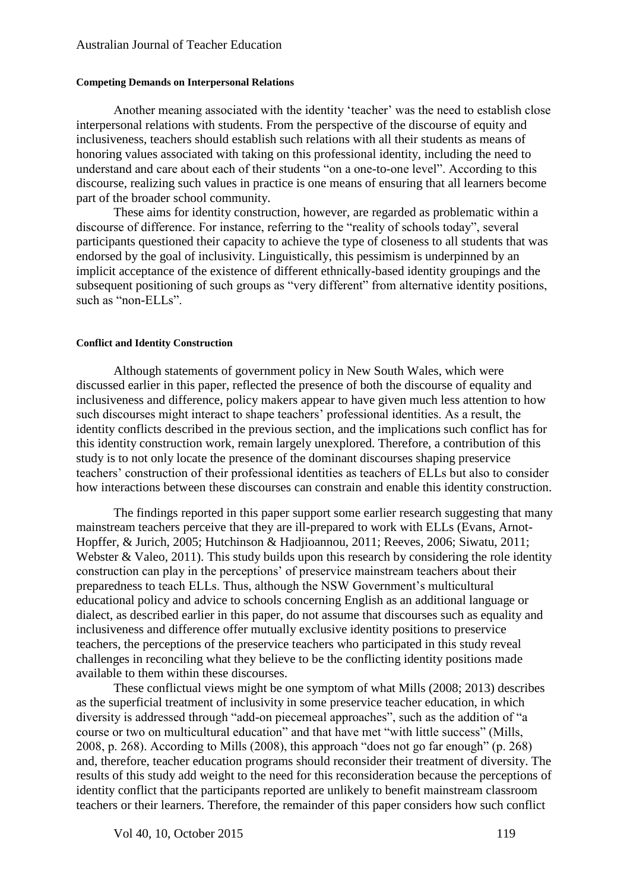#### **Competing Demands on Interpersonal Relations**

Another meaning associated with the identity 'teacher' was the need to establish close interpersonal relations with students. From the perspective of the discourse of equity and inclusiveness, teachers should establish such relations with all their students as means of honoring values associated with taking on this professional identity, including the need to understand and care about each of their students "on a one-to-one level". According to this discourse, realizing such values in practice is one means of ensuring that all learners become part of the broader school community.

These aims for identity construction, however, are regarded as problematic within a discourse of difference. For instance, referring to the "reality of schools today", several participants questioned their capacity to achieve the type of closeness to all students that was endorsed by the goal of inclusivity. Linguistically, this pessimism is underpinned by an implicit acceptance of the existence of different ethnically-based identity groupings and the subsequent positioning of such groups as "very different" from alternative identity positions, such as "non-ELLs".

### **Conflict and Identity Construction**

Although statements of government policy in New South Wales, which were discussed earlier in this paper, reflected the presence of both the discourse of equality and inclusiveness and difference, policy makers appear to have given much less attention to how such discourses might interact to shape teachers' professional identities. As a result, the identity conflicts described in the previous section, and the implications such conflict has for this identity construction work, remain largely unexplored. Therefore, a contribution of this study is to not only locate the presence of the dominant discourses shaping preservice teachers' construction of their professional identities as teachers of ELLs but also to consider how interactions between these discourses can constrain and enable this identity construction.

The findings reported in this paper support some earlier research suggesting that many mainstream teachers perceive that they are ill-prepared to work with ELLs (Evans, Arnot-Hopffer, & Jurich, 2005; Hutchinson & Hadjioannou, 2011; Reeves, 2006; Siwatu, 2011; Webster  $\&$  Valeo, 2011). This study builds upon this research by considering the role identity construction can play in the perceptions' of preservice mainstream teachers about their preparedness to teach ELLs. Thus, although the NSW Government's multicultural educational policy and advice to schools concerning English as an additional language or dialect, as described earlier in this paper, do not assume that discourses such as equality and inclusiveness and difference offer mutually exclusive identity positions to preservice teachers, the perceptions of the preservice teachers who participated in this study reveal challenges in reconciling what they believe to be the conflicting identity positions made available to them within these discourses.

These conflictual views might be one symptom of what Mills (2008; 2013) describes as the superficial treatment of inclusivity in some preservice teacher education, in which diversity is addressed through "add-on piecemeal approaches", such as the addition of "a course or two on multicultural education" and that have met "with little success" (Mills, 2008, p. 268). According to Mills (2008), this approach "does not go far enough" (p. 268) and, therefore, teacher education programs should reconsider their treatment of diversity. The results of this study add weight to the need for this reconsideration because the perceptions of identity conflict that the participants reported are unlikely to benefit mainstream classroom teachers or their learners. Therefore, the remainder of this paper considers how such conflict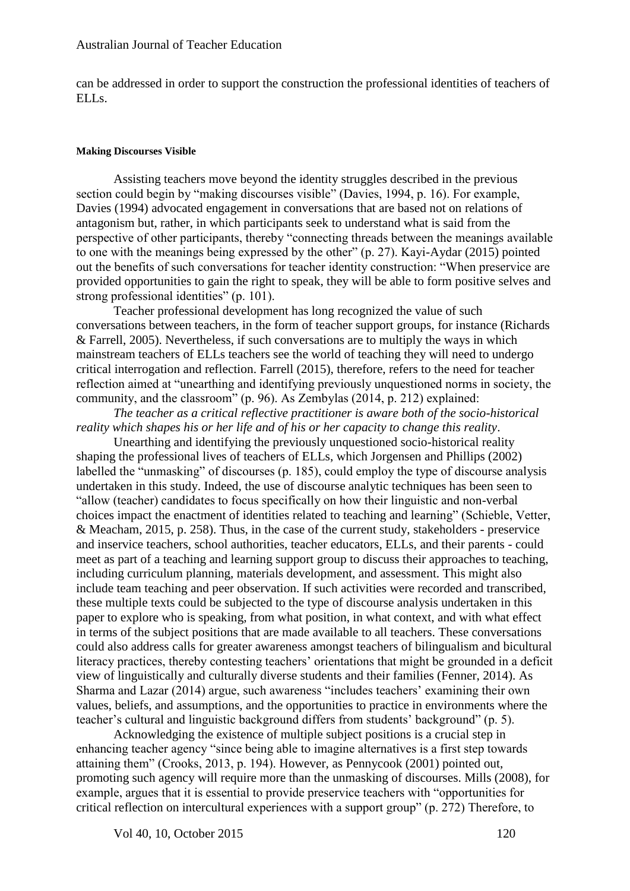can be addressed in order to support the construction the professional identities of teachers of ELLs.

#### **Making Discourses Visible**

Assisting teachers move beyond the identity struggles described in the previous section could begin by "making discourses visible" (Davies, 1994, p. 16). For example, Davies (1994) advocated engagement in conversations that are based not on relations of antagonism but, rather, in which participants seek to understand what is said from the perspective of other participants, thereby "connecting threads between the meanings available to one with the meanings being expressed by the other" (p. 27). Kayi-Aydar (2015) pointed out the benefits of such conversations for teacher identity construction: "When preservice are provided opportunities to gain the right to speak, they will be able to form positive selves and strong professional identities" (p. 101).

Teacher professional development has long recognized the value of such conversations between teachers, in the form of teacher support groups, for instance (Richards & Farrell, 2005). Nevertheless, if such conversations are to multiply the ways in which mainstream teachers of ELLs teachers see the world of teaching they will need to undergo critical interrogation and reflection. Farrell (2015), therefore, refers to the need for teacher reflection aimed at "unearthing and identifying previously unquestioned norms in society, the community, and the classroom" (p. 96). As Zembylas (2014, p. 212) explained:

*The teacher as a critical reflective practitioner is aware both of the socio-historical reality which shapes his or her life and of his or her capacity to change this reality*.

Unearthing and identifying the previously unquestioned socio-historical reality shaping the professional lives of teachers of ELLs, which Jorgensen and Phillips (2002) labelled the "unmasking" of discourses (p. 185), could employ the type of discourse analysis undertaken in this study. Indeed, the use of discourse analytic techniques has been seen to "allow (teacher) candidates to focus specifically on how their linguistic and non-verbal choices impact the enactment of identities related to teaching and learning" (Schieble, Vetter, & Meacham, 2015, p. 258). Thus, in the case of the current study, stakeholders - preservice and inservice teachers, school authorities, teacher educators, ELLs, and their parents - could meet as part of a teaching and learning support group to discuss their approaches to teaching, including curriculum planning, materials development, and assessment. This might also include team teaching and peer observation. If such activities were recorded and transcribed, these multiple texts could be subjected to the type of discourse analysis undertaken in this paper to explore who is speaking, from what position, in what context, and with what effect in terms of the subject positions that are made available to all teachers. These conversations could also address calls for greater awareness amongst teachers of bilingualism and bicultural literacy practices, thereby contesting teachers' orientations that might be grounded in a deficit view of linguistically and culturally diverse students and their families (Fenner, 2014). As Sharma and Lazar (2014) argue, such awareness "includes teachers' examining their own values, beliefs, and assumptions, and the opportunities to practice in environments where the teacher's cultural and linguistic background differs from students' background" (p. 5).

Acknowledging the existence of multiple subject positions is a crucial step in enhancing teacher agency "since being able to imagine alternatives is a first step towards attaining them" (Crooks, 2013, p. 194). However, as Pennycook (2001) pointed out, promoting such agency will require more than the unmasking of discourses. Mills (2008), for example, argues that it is essential to provide preservice teachers with "opportunities for critical reflection on intercultural experiences with a support group" (p. 272) Therefore, to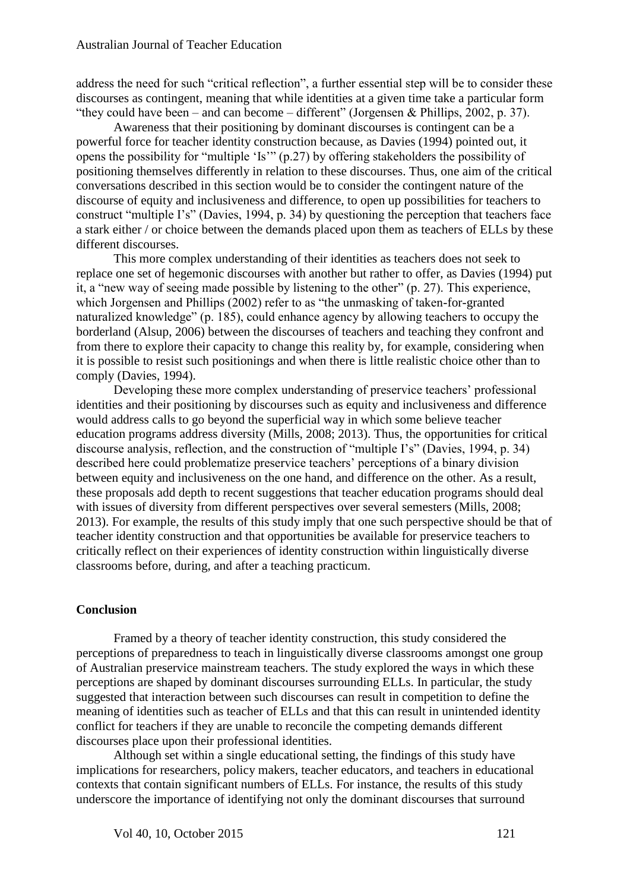address the need for such "critical reflection", a further essential step will be to consider these discourses as contingent, meaning that while identities at a given time take a particular form "they could have been – and can become – different" (Jorgensen & Phillips, 2002, p. 37).

Awareness that their positioning by dominant discourses is contingent can be a powerful force for teacher identity construction because, as Davies (1994) pointed out, it opens the possibility for "multiple 'Is'" (p.27) by offering stakeholders the possibility of positioning themselves differently in relation to these discourses. Thus, one aim of the critical conversations described in this section would be to consider the contingent nature of the discourse of equity and inclusiveness and difference, to open up possibilities for teachers to construct "multiple I's" (Davies, 1994, p. 34) by questioning the perception that teachers face a stark either / or choice between the demands placed upon them as teachers of ELLs by these different discourses.

This more complex understanding of their identities as teachers does not seek to replace one set of hegemonic discourses with another but rather to offer, as Davies (1994) put it, a "new way of seeing made possible by listening to the other" (p. 27). This experience, which Jorgensen and Phillips (2002) refer to as "the unmasking of taken-for-granted naturalized knowledge" (p. 185), could enhance agency by allowing teachers to occupy the borderland (Alsup, 2006) between the discourses of teachers and teaching they confront and from there to explore their capacity to change this reality by, for example, considering when it is possible to resist such positionings and when there is little realistic choice other than to comply (Davies, 1994).

Developing these more complex understanding of preservice teachers' professional identities and their positioning by discourses such as equity and inclusiveness and difference would address calls to go beyond the superficial way in which some believe teacher education programs address diversity (Mills, 2008; 2013). Thus, the opportunities for critical discourse analysis, reflection, and the construction of "multiple I's" (Davies, 1994, p. 34) described here could problematize preservice teachers' perceptions of a binary division between equity and inclusiveness on the one hand, and difference on the other. As a result, these proposals add depth to recent suggestions that teacher education programs should deal with issues of diversity from different perspectives over several semesters (Mills, 2008; 2013). For example, the results of this study imply that one such perspective should be that of teacher identity construction and that opportunities be available for preservice teachers to critically reflect on their experiences of identity construction within linguistically diverse classrooms before, during, and after a teaching practicum.

## **Conclusion**

Framed by a theory of teacher identity construction, this study considered the perceptions of preparedness to teach in linguistically diverse classrooms amongst one group of Australian preservice mainstream teachers. The study explored the ways in which these perceptions are shaped by dominant discourses surrounding ELLs. In particular, the study suggested that interaction between such discourses can result in competition to define the meaning of identities such as teacher of ELLs and that this can result in unintended identity conflict for teachers if they are unable to reconcile the competing demands different discourses place upon their professional identities.

Although set within a single educational setting, the findings of this study have implications for researchers, policy makers, teacher educators, and teachers in educational contexts that contain significant numbers of ELLs. For instance, the results of this study underscore the importance of identifying not only the dominant discourses that surround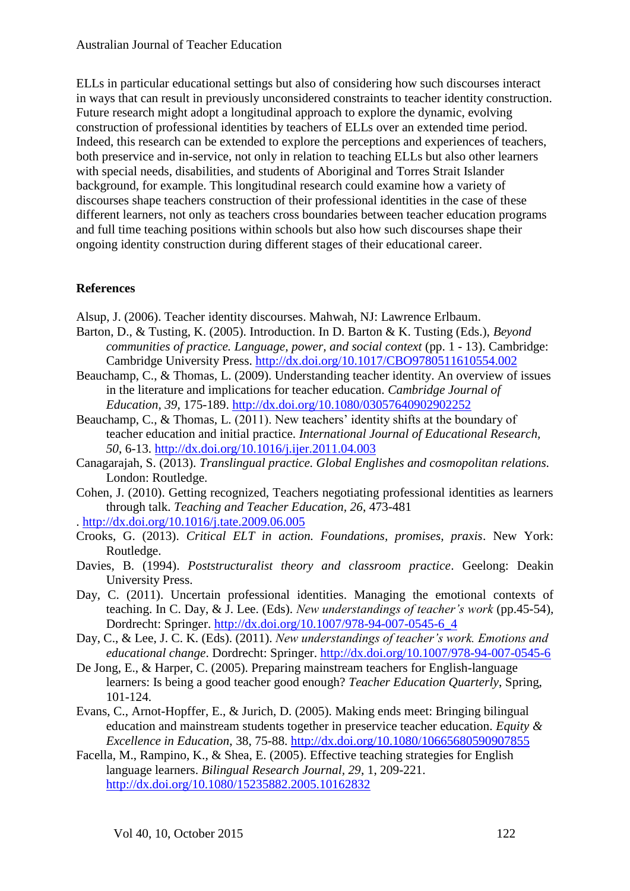ELLs in particular educational settings but also of considering how such discourses interact in ways that can result in previously unconsidered constraints to teacher identity construction. Future research might adopt a longitudinal approach to explore the dynamic, evolving construction of professional identities by teachers of ELLs over an extended time period. Indeed, this research can be extended to explore the perceptions and experiences of teachers, both preservice and in-service, not only in relation to teaching ELLs but also other learners with special needs, disabilities, and students of Aboriginal and Torres Strait Islander background, for example. This longitudinal research could examine how a variety of discourses shape teachers construction of their professional identities in the case of these different learners, not only as teachers cross boundaries between teacher education programs and full time teaching positions within schools but also how such discourses shape their ongoing identity construction during different stages of their educational career.

## **References**

- Alsup, J. (2006). Teacher identity discourses. Mahwah, NJ: Lawrence Erlbaum.
- Barton, D., & Tusting, K. (2005). Introduction. In D. Barton & K. Tusting (Eds.), *Beyond communities of practice. Language, power, and social context* (pp. 1 - 13). Cambridge: Cambridge University Press.<http://dx.doi.org/10.1017/CBO9780511610554.002>
- Beauchamp, C., & Thomas, L. (2009). Understanding teacher identity. An overview of issues in the literature and implications for teacher education. *Cambridge Journal of Education, 39*, 175-189.<http://dx.doi.org/10.1080/03057640902902252>
- Beauchamp, C., & Thomas, L. (2011). New teachers' identity shifts at the boundary of teacher education and initial practice. *International Journal of Educational Research, 50*, 6-13.<http://dx.doi.org/10.1016/j.ijer.2011.04.003>
- Canagarajah, S. (2013). *Translingual practice. Global Englishes and cosmopolitan relations.*  London: Routledge.
- Cohen, J. (2010). Getting recognized, Teachers negotiating professional identities as learners through talk. *Teaching and Teacher Education, 26*, 473-481
- .<http://dx.doi.org/10.1016/j.tate.2009.06.005>
- Crooks, G. (2013). *Critical ELT in action. Foundations, promises, praxis*. New York: Routledge.
- Davies, B. (1994). *Poststructuralist theory and classroom practice*. Geelong: Deakin University Press.
- Day, C. (2011). Uncertain professional identities. Managing the emotional contexts of teaching. In C. Day, & J. Lee. (Eds). *New understandings of teacher's work* (pp.45-54)*,* Dordrecht: Springer. [http://dx.doi.org/10.1007/978-94-007-0545-6\\_4](http://dx.doi.org/10.1007/978-94-007-0545-6_4)
- Day, C., & Lee, J. C. K. (Eds). (2011). *New understandings of teacher's work. Emotions and educational change*. Dordrecht: Springer.<http://dx.doi.org/10.1007/978-94-007-0545-6>
- De Jong, E., & Harper, C. (2005). Preparing mainstream teachers for English-language learners: Is being a good teacher good enough? *Teacher Education Quarterly*, Spring, 101-124.
- Evans, C., Arnot-Hopffer, E., & Jurich, D. (2005). Making ends meet: Bringing bilingual education and mainstream students together in preservice teacher education. *Equity & Excellence in Education*, 38, 75-88.<http://dx.doi.org/10.1080/10665680590907855>
- Facella, M., Rampino, K., & Shea, E. (2005). Effective teaching strategies for English language learners. *Bilingual Research Journal, 29*, 1, 209-221. <http://dx.doi.org/10.1080/15235882.2005.10162832>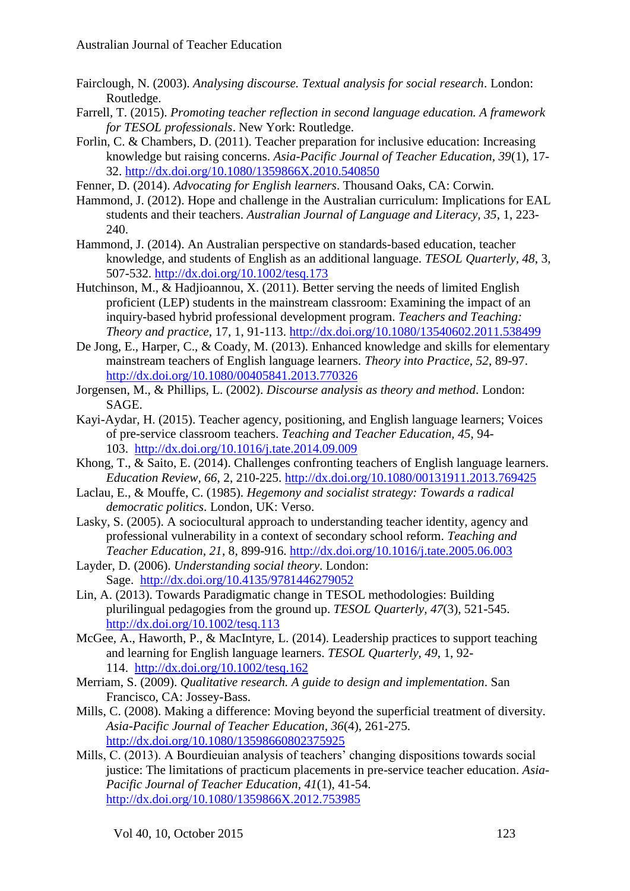- Fairclough, N. (2003). *Analysing discourse. Textual analysis for social research*. London: Routledge.
- Farrell, T. (2015). *Promoting teacher reflection in second language education. A framework for TESOL professionals*. New York: Routledge.
- Forlin, C. & Chambers, D. (2011). Teacher preparation for inclusive education: Increasing knowledge but raising concerns. *Asia-Pacific Journal of Teacher Education, 39*(1), 17- 32.<http://dx.doi.org/10.1080/1359866X.2010.540850>
- Fenner, D. (2014). *Advocating for English learners*. Thousand Oaks, CA: Corwin.
- Hammond, J. (2012). Hope and challenge in the Australian curriculum: Implications for EAL students and their teachers. *Australian Journal of Language and Literacy, 35*, 1, 223- 240.
- Hammond, J. (2014). An Australian perspective on standards-based education, teacher knowledge, and students of English as an additional language. *TESOL Quarterly, 48*, 3, 507-532.<http://dx.doi.org/10.1002/tesq.173>
- Hutchinson, M., & Hadjioannou, X. (2011). Better serving the needs of limited English proficient (LEP) students in the mainstream classroom: Examining the impact of an inquiry-based hybrid professional development program. *Teachers and Teaching: Theory and practice*, 17, 1, 91-113.<http://dx.doi.org/10.1080/13540602.2011.538499>
- De Jong, E., Harper, C., & Coady, M. (2013). Enhanced knowledge and skills for elementary mainstream teachers of English language learners. *Theory into Practice, 52*, 89-97. <http://dx.doi.org/10.1080/00405841.2013.770326>
- Jorgensen, M., & Phillips, L. (2002). *Discourse analysis as theory and method*. London: SAGE.
- Kayi-Aydar, H. (2015). Teacher agency, positioning, and English language learners; Voices of pre-service classroom teachers. *Teaching and Teacher Education, 45*, 94- 103. <http://dx.doi.org/10.1016/j.tate.2014.09.009>
- Khong, T., & Saito, E. (2014). Challenges confronting teachers of English language learners. *Education Review, 66*, 2, 210-225.<http://dx.doi.org/10.1080/00131911.2013.769425>
- Laclau, E., & Mouffe, C. (1985). *Hegemony and socialist strategy: Towards a radical democratic politics*. London, UK: Verso.
- Lasky, S. (2005). A sociocultural approach to understanding teacher identity, agency and professional vulnerability in a context of secondary school reform. *Teaching and Teacher Education, 21*, 8, 899-916.<http://dx.doi.org/10.1016/j.tate.2005.06.003>
- Layder, D. (2006). *Understanding social theory*. London: Sage. <http://dx.doi.org/10.4135/9781446279052>
- Lin, A. (2013). Towards Paradigmatic change in TESOL methodologies: Building plurilingual pedagogies from the ground up. *TESOL Quarterly, 47*(3), 521-545. <http://dx.doi.org/10.1002/tesq.113>
- McGee, A., Haworth, P., & MacIntyre, L. (2014). Leadership practices to support teaching and learning for English language learners. *TESOL Quarterly, 49*, 1, 92- 114. <http://dx.doi.org/10.1002/tesq.162>
- Merriam, S. (2009). *Qualitative research. A guide to design and implementation*. San Francisco, CA: Jossey-Bass.
- Mills, C. (2008). Making a difference: Moving beyond the superficial treatment of diversity. *Asia-Pacific Journal of Teacher Education, 36*(4), 261-275. <http://dx.doi.org/10.1080/13598660802375925>
- Mills, C. (2013). A Bourdieuian analysis of teachers' changing dispositions towards social justice: The limitations of practicum placements in pre-service teacher education. *Asia-Pacific Journal of Teacher Education, 41*(1), 41-54. <http://dx.doi.org/10.1080/1359866X.2012.753985>